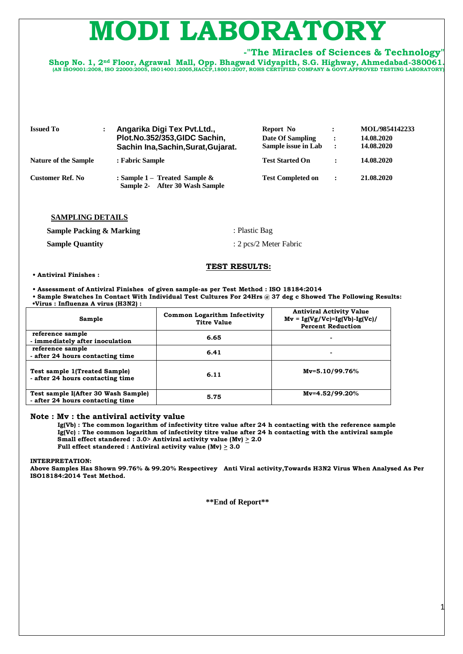# LABOR

# **-"The Miracles of Sciences & Technology"**

**Shop No. 1, 2nd Floor, Agrawal Mall, Opp. Bhagwad Vidyapith, S.G. Highway, Ahmedabad-380061. (AN ISO9001:2008, ISO 22000:2005, ISO14001:2005,HACCP,18001:2007, ROHS CERTIFIED COMPANY & GOVT.APPROVED TESTING LABORATORY)**

| <b>Issued To</b>            | Angarika Digi Tex Pvt. Ltd.,<br>Plot.No.352/353,GIDC Sachin,<br>Sachin Ina, Sachin, Surat, Gujarat. | Report No<br>Date Of Sampling<br>Sample issue in Lab | $\ddot{\phantom{a}}$<br>$\ddot{\cdot}$ | MOL/9854142233<br>14.08.2020<br>14.08.2020 |
|-----------------------------|-----------------------------------------------------------------------------------------------------|------------------------------------------------------|----------------------------------------|--------------------------------------------|
| <b>Nature of the Sample</b> | : Fabric Sample                                                                                     | <b>Test Started On</b>                               | $\ddot{\phantom{0}}$                   | 14.08.2020                                 |
| Customer Ref. No            | : Sample $1-$ Treated Sample $\&$<br>Sample 2- After 30 Wash Sample                                 | <b>Test Completed on</b>                             | $\ddot{\phantom{a}}$                   | 21.08.2020                                 |

#### **SAMPLING DETAILS**

**Sample Packing & Marking Sample Quantity** : Plastic Bag : 2 pcs/2 Meter Fabric

## **TEST RESULTS:**

**• Antiviral Finishes :** 

**• Assessment of Antiviral Finishes of given sample-as per Test Method : ISO 18184:2014 • Sample Swatches In Contact With Individual Test Cultures For 24Hrs @ 37 deg c Showed The Following Results: •Virus : Influenza A virus (H3N2) :** 

| Sample                                                                   | <b>Common Logarithm Infectivity</b><br><b>Titre Value</b> | <b>Antiviral Activity Value</b><br>$Mv = Ig(Vg/Vc)= Ig(Vb)- Ig(Vc)/$<br><b>Percent Reduction</b> |
|--------------------------------------------------------------------------|-----------------------------------------------------------|--------------------------------------------------------------------------------------------------|
| reference sample<br>- immediately after inoculation                      | 6.65                                                      |                                                                                                  |
| reference sample<br>- after 24 hours contacting time                     | 6.41                                                      | $\blacksquare$                                                                                   |
| <b>Test sample 1(Treated Sample)</b><br>- after 24 hours contacting time | 6.11                                                      | $Mv = 5.10/99.76%$                                                                               |
| Test sample I(After 30 Wash Sample)<br>- after 24 hours contacting time  | 5.75                                                      | $Mv=4.52/99.20%$                                                                                 |

#### **Note : Mv : the antiviral activity value**

 **Ig(Vb) : The common logarithm of infectivity titre value after 24 h contacting with the reference sample Ig(Vc) : The common logarithm of infectivity titre value after 24 h contacting with the antiviral sample Small effect standered : 3.0> Antiviral activity value (Mv)**  $\geq$  **2.0 Full effect standered : Antiviral activity value (Mv) > 3.0**

**INTERPRETATION:** 

**Above Samples Has Shown 99.76% & 99.20% Respectivey Anti Viral activity,Towards H3N2 Virus When Analysed As Per ISO18184:2014 Test Method.**

**\*\*End of Report\*\***